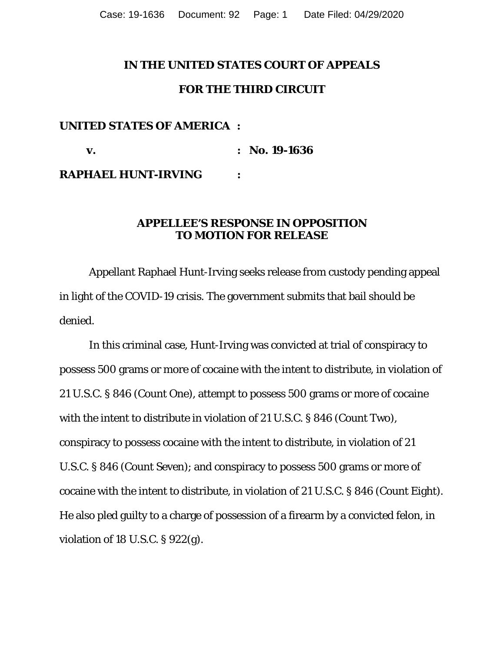### **IN THE UNITED STATES COURT OF APPEALS**

### **FOR THE THIRD CIRCUIT**

## **UNITED STATES OF AMERICA :**

 **v. : No. 19-1636 RAPHAEL HUNT-IRVING :** 

## **APPELLEE'S RESPONSE IN OPPOSITION TO MOTION FOR RELEASE**

 Appellant Raphael Hunt-Irving seeks release from custody pending appeal in light of the COVID-19 crisis. The government submits that bail should be denied.

 In this criminal case, Hunt-Irving was convicted at trial of conspiracy to possess 500 grams or more of cocaine with the intent to distribute, in violation of 21 U.S.C. § 846 (Count One), attempt to possess 500 grams or more of cocaine with the intent to distribute in violation of 21 U.S.C. § 846 (Count Two), conspiracy to possess cocaine with the intent to distribute, in violation of 21 U.S.C. § 846 (Count Seven); and conspiracy to possess 500 grams or more of cocaine with the intent to distribute, in violation of 21 U.S.C. § 846 (Count Eight). He also pled guilty to a charge of possession of a firearm by a convicted felon, in violation of 18 U.S.C. § 922(g).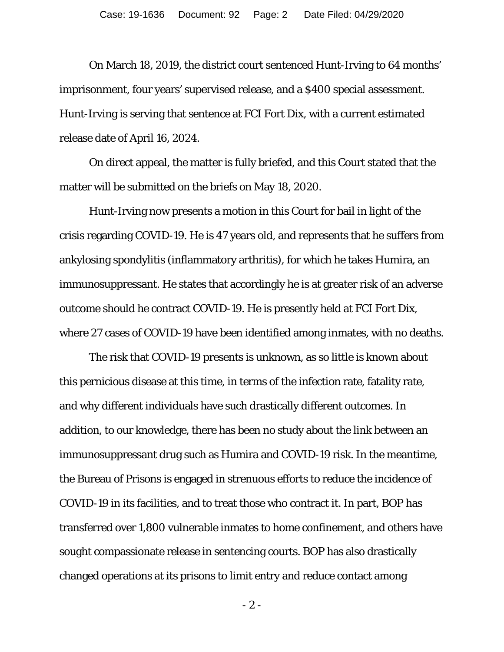On March 18, 2019, the district court sentenced Hunt-Irving to 64 months' imprisonment, four years' supervised release, and a \$400 special assessment. Hunt-Irving is serving that sentence at FCI Fort Dix, with a current estimated release date of April 16, 2024.

On direct appeal, the matter is fully briefed, and this Court stated that the matter will be submitted on the briefs on May 18, 2020.

 Hunt-Irving now presents a motion in this Court for bail in light of the crisis regarding COVID-19. He is 47 years old, and represents that he suffers from ankylosing spondylitis (inflammatory arthritis), for which he takes Humira, an immunosuppressant. He states that accordingly he is at greater risk of an adverse outcome should he contract COVID-19. He is presently held at FCI Fort Dix, where 27 cases of COVID-19 have been identified among inmates, with no deaths.

 The risk that COVID-19 presents is unknown, as so little is known about this pernicious disease at this time, in terms of the infection rate, fatality rate, and why different individuals have such drastically different outcomes. In addition, to our knowledge, there has been no study about the link between an immunosuppressant drug such as Humira and COVID-19 risk. In the meantime, the Bureau of Prisons is engaged in strenuous efforts to reduce the incidence of COVID-19 in its facilities, and to treat those who contract it. In part, BOP has transferred over 1,800 vulnerable inmates to home confinement, and others have sought compassionate release in sentencing courts. BOP has also drastically changed operations at its prisons to limit entry and reduce contact among

- 2 -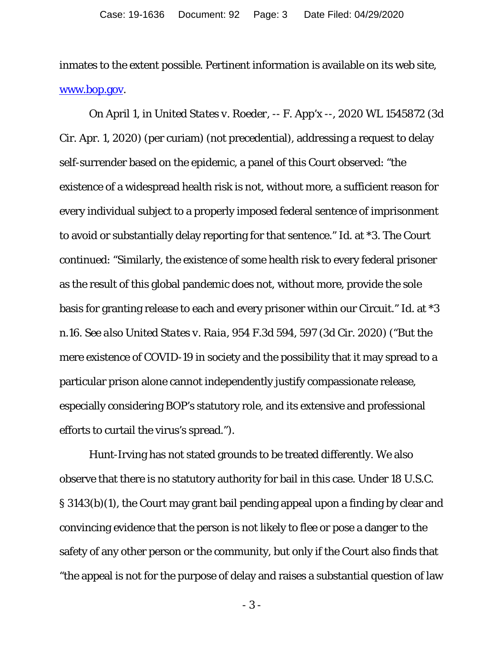inmates to the extent possible. Pertinent information is available on its web site, www.bop.gov.

On April 1, in *United States v. Roeder*, -- F. App'x --, 2020 WL 1545872 (3d Cir. Apr. 1, 2020) (per curiam) (not precedential), addressing a request to delay self-surrender based on the epidemic, a panel of this Court observed: "the existence of a widespread health risk is not, without more, a sufficient reason for every individual subject to a properly imposed federal sentence of imprisonment to avoid or substantially delay reporting for that sentence." *Id.* at \*3. The Court continued: "Similarly, the existence of some health risk to every federal prisoner as the result of this global pandemic does not, without more, provide the sole basis for granting release to each and every prisoner within our Circuit." *Id.* at \*3 n.16. *See also United States v. Raia*, 954 F.3d 594, 597 (3d Cir. 2020) ("But the mere existence of COVID-19 in society and the possibility that it may spread to a particular prison alone cannot independently justify compassionate release, especially considering BOP's statutory role, and its extensive and professional efforts to curtail the virus's spread.").

Hunt-Irving has not stated grounds to be treated differently. We also observe that there is no statutory authority for bail in this case. Under 18 U.S.C. § 3143(b)(1), the Court may grant bail pending appeal upon a finding by clear and convincing evidence that the person is not likely to flee or pose a danger to the safety of any other person or the community, but only if the Court also finds that "the appeal is not for the purpose of delay and raises a substantial question of law

- 3 -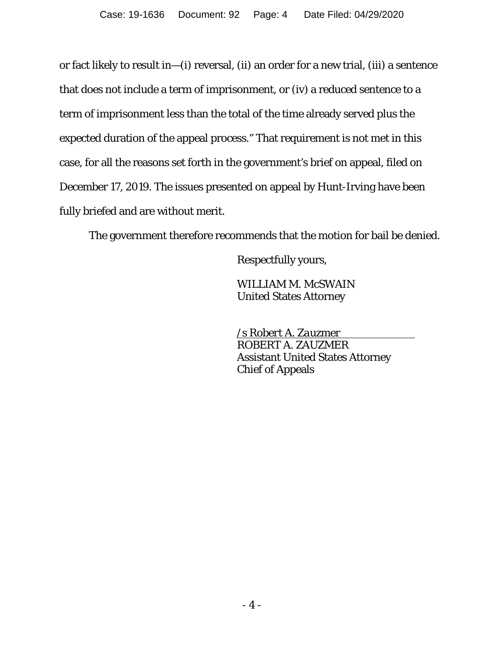or fact likely to result in—(i) reversal, (ii) an order for a new trial, (iii) a sentence that does not include a term of imprisonment, or (iv) a reduced sentence to a term of imprisonment less than the total of the time already served plus the expected duration of the appeal process." That requirement is not met in this case, for all the reasons set forth in the government's brief on appeal, filed on December 17, 2019. The issues presented on appeal by Hunt-Irving have been fully briefed and are without merit.

The government therefore recommends that the motion for bail be denied.

Respectfully yours,

 WILLIAM M. McSWAIN United States Attorney

 */s Robert A. Zauzmer*  ROBERT A. ZAUZMER Assistant United States Attorney Chief of Appeals